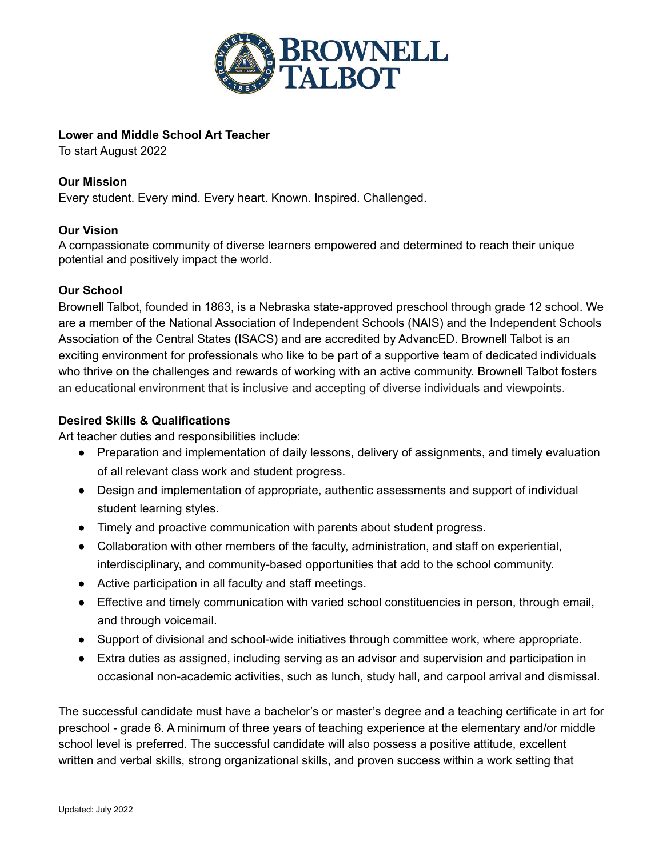

## **Lower and Middle School Art Teacher**

To start August 2022

## **Our Mission**

Every student. Every mind. Every heart. Known. Inspired. Challenged.

# **Our Vision**

A compassionate community of diverse learners empowered and determined to reach their unique potential and positively impact the world.

### **Our School**

Brownell Talbot, founded in 1863, is a Nebraska state-approved preschool through grade 12 school. We are a member of the National Association of Independent Schools (NAIS) and the Independent Schools Association of the Central States (ISACS) and are accredited by AdvancED. Brownell Talbot is an exciting environment for professionals who like to be part of a supportive team of dedicated individuals who thrive on the challenges and rewards of working with an active community. Brownell Talbot fosters an educational environment that is inclusive and accepting of diverse individuals and viewpoints.

# **Desired Skills & Qualifications**

Art teacher duties and responsibilities include:

- Preparation and implementation of daily lessons, delivery of assignments, and timely evaluation of all relevant class work and student progress.
- Design and implementation of appropriate, authentic assessments and support of individual student learning styles.
- Timely and proactive communication with parents about student progress.
- Collaboration with other members of the faculty, administration, and staff on experiential, interdisciplinary, and community-based opportunities that add to the school community.
- Active participation in all faculty and staff meetings.
- Effective and timely communication with varied school constituencies in person, through email, and through voicemail.
- Support of divisional and school-wide initiatives through committee work, where appropriate.
- Extra duties as assigned, including serving as an advisor and supervision and participation in occasional non-academic activities, such as lunch, study hall, and carpool arrival and dismissal.

The successful candidate must have a bachelor's or master's degree and a teaching certificate in art for preschool - grade 6. A minimum of three years of teaching experience at the elementary and/or middle school level is preferred. The successful candidate will also possess a positive attitude, excellent written and verbal skills, strong organizational skills, and proven success within a work setting that